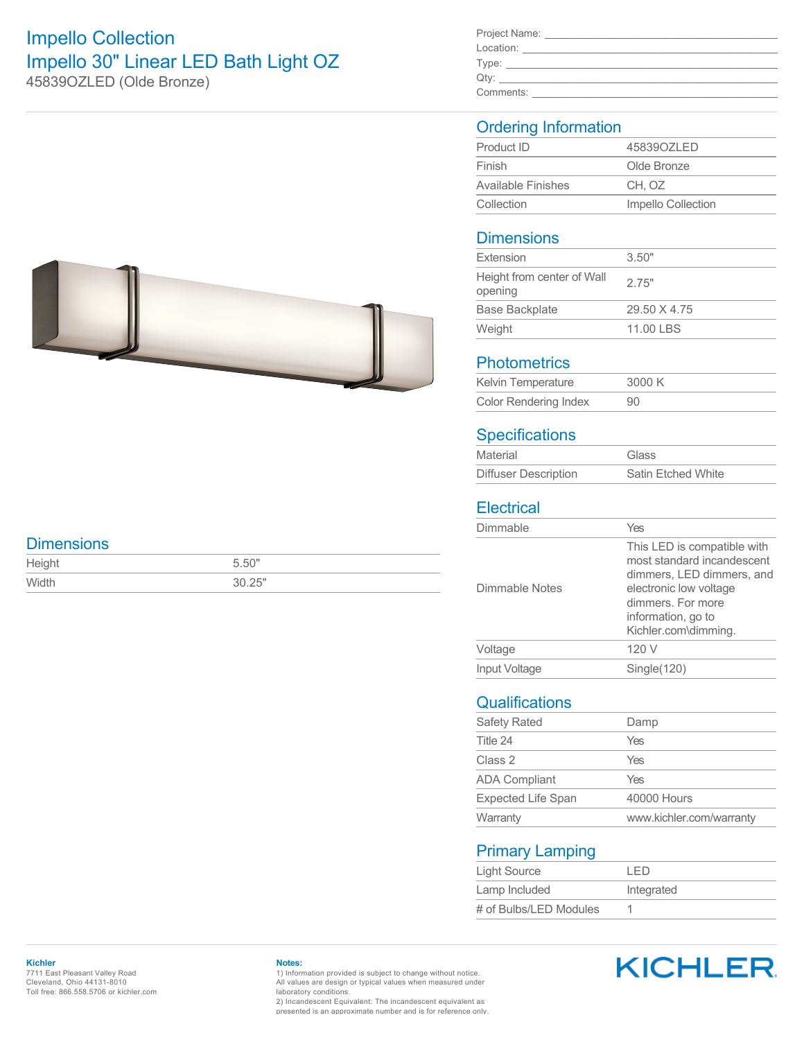# Impello Collection Impello 30" Linear LED Bath Light OZ 45839OZLED (Olde Bronze)

| Project Name: |  |
|---------------|--|
| Location:     |  |
| Type:         |  |
| Qty:          |  |
| Comments:     |  |

### Ordering Information

| Product ID                | 4583907L FD        |  |
|---------------------------|--------------------|--|
| Finish                    | Olde Bronze        |  |
| <b>Available Finishes</b> | CH. OZ             |  |
| Collection                | Impello Collection |  |

#### **Dimensions**

| Extension                             | 3.50"        |
|---------------------------------------|--------------|
| Height from center of Wall<br>opening | 2.75"        |
| <b>Base Backplate</b>                 | 29.50 X 4.75 |
| Weight                                | 11.00 LBS    |

#### **Photometrics**

| Kelvin Temperature           | 3000 K |
|------------------------------|--------|
| <b>Color Rendering Index</b> | 90     |

### **Specifications**

| Material                    | Glass                     |
|-----------------------------|---------------------------|
| <b>Diffuser Description</b> | <b>Satin Etched White</b> |

#### **Electrical**

| Dimmable       | Yes                                                                                                                                                                                 |
|----------------|-------------------------------------------------------------------------------------------------------------------------------------------------------------------------------------|
| Dimmable Notes | This LED is compatible with<br>most standard incandescent<br>dimmers, LED dimmers, and<br>electronic low voltage<br>dimmers. For more<br>information, go to<br>Kichler.com\dimming. |
| Voltage        | 120 V                                                                                                                                                                               |
| Input Voltage  | Single(120)                                                                                                                                                                         |
|                |                                                                                                                                                                                     |

## **Qualifications**

| <b>Safety Rated</b>       | Damp                     |
|---------------------------|--------------------------|
| Title 24                  | Yes                      |
| Class 2                   | Yes                      |
| <b>ADA Compliant</b>      | Yes                      |
| <b>Expected Life Span</b> | 40000 Hours              |
| Warranty                  | www.kichler.com/warranty |

#### Primary Lamping

| Light Source           | I FD       |
|------------------------|------------|
| Lamp Included          | Integrated |
| # of Bulbs/LED Modules |            |

#### **Dimensions**

| Height | 5.50"  |
|--------|--------|
| Width  | 30.25" |

#### **Kichler** 7711 East Pleasant Valley Road Cleveland, Ohio 44131-8010 Toll free: 866.558.5706 or kichler.com

#### **Notes:**

1) Information provided is subject to change without notice. All values are design or typical values when measured under laboratory conditions.

2) Incandescent Equivalent: The incandescent equivalent as presented is an approximate number and is for reference only.